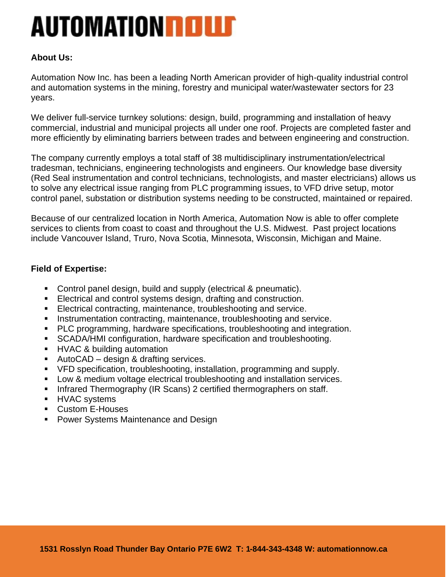# **AUTOMATION ROLLS**

## **About Us:**

Automation Now Inc. has been a leading North American provider of high-quality industrial control and automation systems in the mining, forestry and municipal water/wastewater sectors for 23 years.

We deliver full-service turnkey solutions: design, build, programming and installation of heavy commercial, industrial and municipal projects all under one roof. Projects are completed faster and more efficiently by eliminating barriers between trades and between engineering and construction.

The company currently employs a total staff of 38 multidisciplinary instrumentation/electrical tradesman, technicians, engineering technologists and engineers. Our knowledge base diversity (Red Seal instrumentation and control technicians, technologists, and master electricians) allows us to solve any electrical issue ranging from PLC programming issues, to VFD drive setup, motor control panel, substation or distribution systems needing to be constructed, maintained or repaired.

Because of our centralized location in North America, Automation Now is able to offer complete services to clients from coast to coast and throughout the U.S. Midwest. Past project locations include Vancouver Island, Truro, Nova Scotia, Minnesota, Wisconsin, Michigan and Maine.

#### **Field of Expertise:**

- Control panel design, build and supply (electrical & pneumatic).
- **Electrical and control systems design, drafting and construction.**
- **Electrical contracting, maintenance, troubleshooting and service.**
- **EXEDENTIFIELD** Instrumentation contracting, maintenance, troubleshooting and service.
- PLC programming, hardware specifications, troubleshooting and integration.
- SCADA/HMI configuration, hardware specification and troubleshooting.
- **E** HVAC & building automation
- AutoCAD design & drafting services.
- VFD specification, troubleshooting, installation, programming and supply.
- Low & medium voltage electrical troubleshooting and installation services.
- **EXEDENT Infrared Thermography (IR Scans) 2 certified thermographers on staff.**
- **E** HVAC systems
- Custom E-Houses
- **Power Systems Maintenance and Design**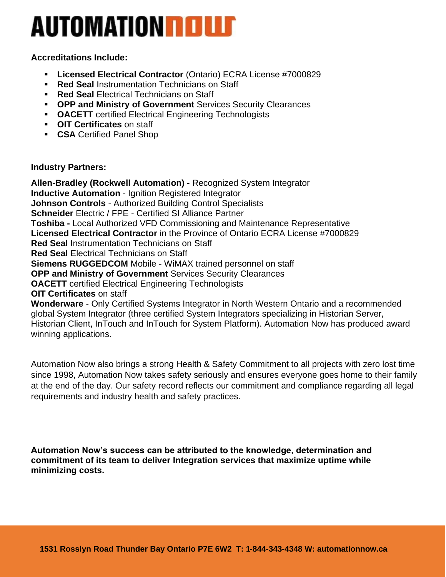# **AUTOMATION ROLLS**

### **Accreditations Include:**

- **Licensed Electrical Contractor** (Ontario) ECRA License #7000829
- **Red Seal Instrumentation Technicians on Staff**
- **Red Seal Electrical Technicians on Staff**
- **OPP and Ministry of Government** Services Security Clearances
- **OACETT** certified Electrical Engineering Technologists
- **OIT Certificates** on staff
- **CSA** Certified Panel Shop

#### **Industry Partners:**

**Allen-Bradley (Rockwell Automation)** - Recognized System Integrator **Inductive Automation** - Ignition Registered Integrator **Johnson Controls** - Authorized Building Control Specialists **Schneider** Electric / FPE - Certified SI Alliance Partner **Toshiba -** Local Authorized VFD Commissioning and Maintenance Representative **Licensed Electrical Contractor** in the Province of Ontario ECRA License #7000829 **Red Seal** Instrumentation Technicians on Staff **Red Seal** Electrical Technicians on Staff **Siemens RUGGEDCOM** Mobile - WiMAX trained personnel on staff **OPP and Ministry of Government** Services Security Clearances **OACETT** certified Electrical Engineering Technologists **OIT Certificates** on staff **Wonderware** - Only Certified Systems Integrator in North Western Ontario and a recommended global System Integrator (three certified System Integrators specializing in Historian Server, Historian Client, InTouch and InTouch for System Platform). Automation Now has produced award winning applications.

Automation Now also brings a strong Health & Safety Commitment to all projects with zero lost time since 1998, Automation Now takes safety seriously and ensures everyone goes home to their family at the end of the day. Our safety record reflects our commitment and compliance regarding all legal requirements and industry health and safety practices.

**Automation Now's success can be attributed to the knowledge, determination and commitment of its team to deliver Integration services that maximize uptime while minimizing costs.**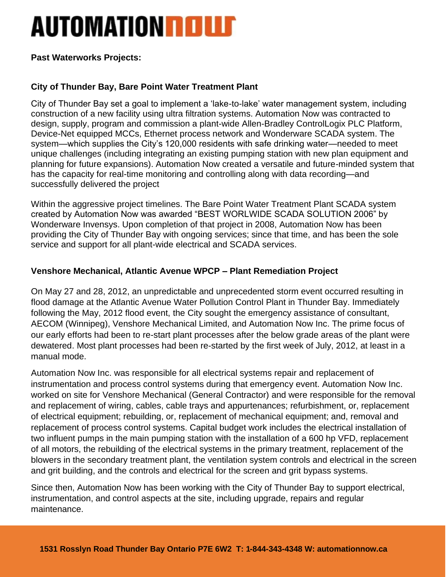# **AUTOMATION RELLE**

### **Past Waterworks Projects:**

## **City of Thunder Bay, Bare Point Water Treatment Plant**

City of Thunder Bay set a goal to implement a 'lake-to-lake' water management system, including construction of a new facility using ultra filtration systems. Automation Now was contracted to design, supply, program and commission a plant-wide Allen-Bradley ControlLogix PLC Platform, Device-Net equipped MCCs, Ethernet process network and Wonderware SCADA system. The system—which supplies the City's 120,000 residents with safe drinking water—needed to meet unique challenges (including integrating an existing pumping station with new plan equipment and planning for future expansions). Automation Now created a versatile and future-minded system that has the capacity for real-time monitoring and controlling along with data recording—and successfully delivered the project

Within the aggressive project timelines. The Bare Point Water Treatment Plant SCADA system created by Automation Now was awarded "BEST WORLWIDE SCADA SOLUTION 2006" by Wonderware Invensys. Upon completion of that project in 2008, Automation Now has been providing the City of Thunder Bay with ongoing services; since that time, and has been the sole service and support for all plant-wide electrical and SCADA services.

### **Venshore Mechanical, Atlantic Avenue WPCP – Plant Remediation Project**

On May 27 and 28, 2012, an unpredictable and unprecedented storm event occurred resulting in flood damage at the Atlantic Avenue Water Pollution Control Plant in Thunder Bay. Immediately following the May, 2012 flood event, the City sought the emergency assistance of consultant, AECOM (Winnipeg), Venshore Mechanical Limited, and Automation Now Inc. The prime focus of our early efforts had been to re-start plant processes after the below grade areas of the plant were dewatered. Most plant processes had been re-started by the first week of July, 2012, at least in a manual mode.

Automation Now Inc. was responsible for all electrical systems repair and replacement of instrumentation and process control systems during that emergency event. Automation Now Inc. worked on site for Venshore Mechanical (General Contractor) and were responsible for the removal and replacement of wiring, cables, cable trays and appurtenances; refurbishment, or, replacement of electrical equipment; rebuilding, or, replacement of mechanical equipment; and, removal and replacement of process control systems. Capital budget work includes the electrical installation of two influent pumps in the main pumping station with the installation of a 600 hp VFD, replacement of all motors, the rebuilding of the electrical systems in the primary treatment, replacement of the blowers in the secondary treatment plant, the ventilation system controls and electrical in the screen and grit building, and the controls and electrical for the screen and grit bypass systems.

Since then, Automation Now has been working with the City of Thunder Bay to support electrical, instrumentation, and control aspects at the site, including upgrade, repairs and regular maintenance.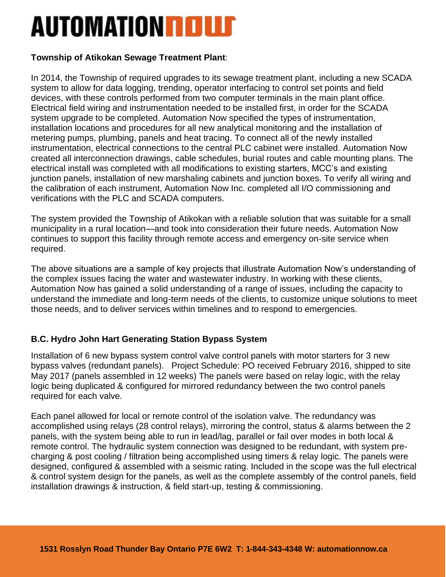## **AUTOMATION ROLLS**

## **Township of Atikokan Sewage Treatment Plant**:

In 2014, the Township of required upgrades to its sewage treatment plant, including a new SCADA system to allow for data logging, trending, operator interfacing to control set points and field devices, with these controls performed from two computer terminals in the main plant office. Electrical field wiring and instrumentation needed to be installed first, in order for the SCADA system upgrade to be completed. Automation Now specified the types of instrumentation, installation locations and procedures for all new analytical monitoring and the installation of metering pumps, plumbing, panels and heat tracing. To connect all of the newly installed instrumentation, electrical connections to the central PLC cabinet were installed. Automation Now created all interconnection drawings, cable schedules, burial routes and cable mounting plans. The electrical install was completed with all modifications to existing starters, MCC's and existing junction panels, installation of new marshaling cabinets and junction boxes. To verify all wiring and the calibration of each instrument, Automation Now Inc. completed all I/O commissioning and verifications with the PLC and SCADA computers.

The system provided the Township of Atikokan with a reliable solution that was suitable for a small municipality in a rural location—and took into consideration their future needs. Automation Now continues to support this facility through remote access and emergency on-site service when required.

The above situations are a sample of key projects that illustrate Automation Now's understanding of the complex issues facing the water and wastewater industry. In working with these clients, Automation Now has gained a solid understanding of a range of issues, including the capacity to understand the immediate and long-term needs of the clients, to customize unique solutions to meet those needs, and to deliver services within timelines and to respond to emergencies.

## **B.C. Hydro John Hart Generating Station Bypass System**

Installation of 6 new bypass system control valve control panels with motor starters for 3 new bypass valves (redundant panels). Project Schedule: PO received February 2016, shipped to site May 2017 (panels assembled in 12 weeks) The panels were based on relay logic, with the relay logic being duplicated & configured for mirrored redundancy between the two control panels required for each valve.

Each panel allowed for local or remote control of the isolation valve. The redundancy was accomplished using relays (28 control relays), mirroring the control, status & alarms between the 2 panels, with the system being able to run in lead/lag, parallel or fail over modes in both local & remote control. The hydraulic system connection was designed to be redundant, with system precharging & post cooling / filtration being accomplished using timers & relay logic. The panels were designed, configured & assembled with a seismic rating. Included in the scope was the full electrical & control system design for the panels, as well as the complete assembly of the control panels, field installation drawings & instruction, & field start-up, testing & commissioning.